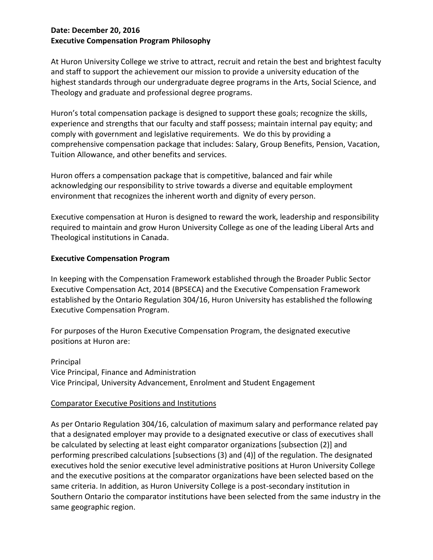## **Date: December 20, 2016 Executive Compensation Program Philosophy**

At Huron University College we strive to attract, recruit and retain the best and brightest faculty and staff to support the achievement our mission to provide a university education of the highest standards through our undergraduate degree programs in the Arts, Social Science, and Theology and graduate and professional degree programs.

Huron's total compensation package is designed to support these goals; recognize the skills, experience and strengths that our faculty and staff possess; maintain internal pay equity; and comply with government and legislative requirements. We do this by providing a comprehensive compensation package that includes: Salary, Group Benefits, Pension, Vacation, Tuition Allowance, and other benefits and services.

Huron offers a compensation package that is competitive, balanced and fair while acknowledging our responsibility to strive towards a diverse and equitable employment environment that recognizes the inherent worth and dignity of every person.

Executive compensation at Huron is designed to reward the work, leadership and responsibility required to maintain and grow Huron University College as one of the leading Liberal Arts and Theological institutions in Canada.

## **Executive Compensation Program**

In keeping with the Compensation Framework established through the Broader Public Sector Executive Compensation Act, 2014 (BPSECA) and the Executive Compensation Framework established by the Ontario Regulation 304/16, Huron University has established the following Executive Compensation Program.

For purposes of the Huron Executive Compensation Program, the designated executive positions at Huron are:

Principal Vice Principal, Finance and Administration Vice Principal, University Advancement, Enrolment and Student Engagement

## Comparator Executive Positions and Institutions

As per Ontario Regulation 304/16, calculation of maximum salary and performance related pay that a designated employer may provide to a designated executive or class of executives shall be calculated by selecting at least eight comparator organizations [subsection (2)] and performing prescribed calculations [subsections (3) and (4)] of the regulation. The designated executives hold the senior executive level administrative positions at Huron University College and the executive positions at the comparator organizations have been selected based on the same criteria. In addition, as Huron University College is a post-secondary institution in Southern Ontario the comparator institutions have been selected from the same industry in the same geographic region.